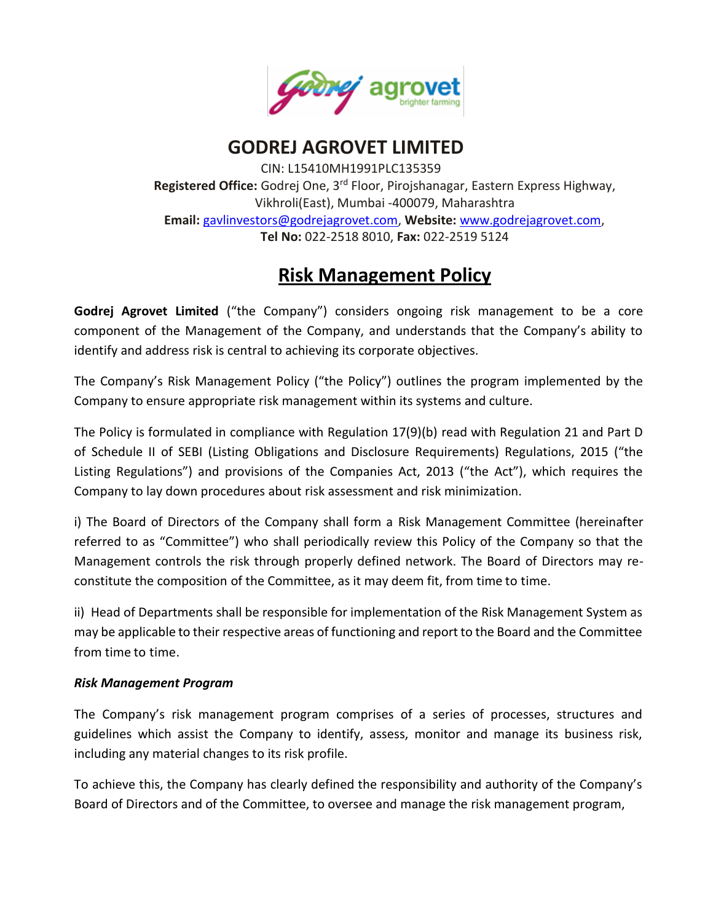

## **GODREJ AGROVET LIMITED**

CIN: L15410MH1991PLC135359 **Registered Office:** Godrej One, 3rd Floor, Pirojshanagar, Eastern Express Highway, Vikhroli(East), Mumbai -400079, Maharashtra **Email:** [gavlinvestors@godrejagrovet.com,](mailto:gavlinvestors@godrejagrovet.com) **Website:** [www.godrejagrovet.com,](http://www.godrejagrovet.com/) **Tel No:** 022-2518 8010, **Fax:** 022-2519 5124

# **Risk Management Policy**

**Godrej Agrovet Limited** ("the Company") considers ongoing risk management to be a core component of the Management of the Company, and understands that the Company's ability to identify and address risk is central to achieving its corporate objectives.

The Company's Risk Management Policy ("the Policy") outlines the program implemented by the Company to ensure appropriate risk management within its systems and culture.

The Policy is formulated in compliance with Regulation 17(9)(b) read with Regulation 21 and Part D of Schedule II of SEBI (Listing Obligations and Disclosure Requirements) Regulations, 2015 ("the Listing Regulations") and provisions of the Companies Act, 2013 ("the Act"), which requires the Company to lay down procedures about risk assessment and risk minimization.

i) The Board of Directors of the Company shall form a Risk Management Committee (hereinafter referred to as "Committee") who shall periodically review this Policy of the Company so that the Management controls the risk through properly defined network. The Board of Directors may reconstitute the composition of the Committee, as it may deem fit, from time to time.

ii) Head of Departments shall be responsible for implementation of the Risk Management System as may be applicable to their respective areas of functioning and report to the Board and the Committee from time to time.

## *Risk Management Program*

The Company's risk management program comprises of a series of processes, structures and guidelines which assist the Company to identify, assess, monitor and manage its business risk, including any material changes to its risk profile.

To achieve this, the Company has clearly defined the responsibility and authority of the Company's Board of Directors and of the Committee, to oversee and manage the risk management program,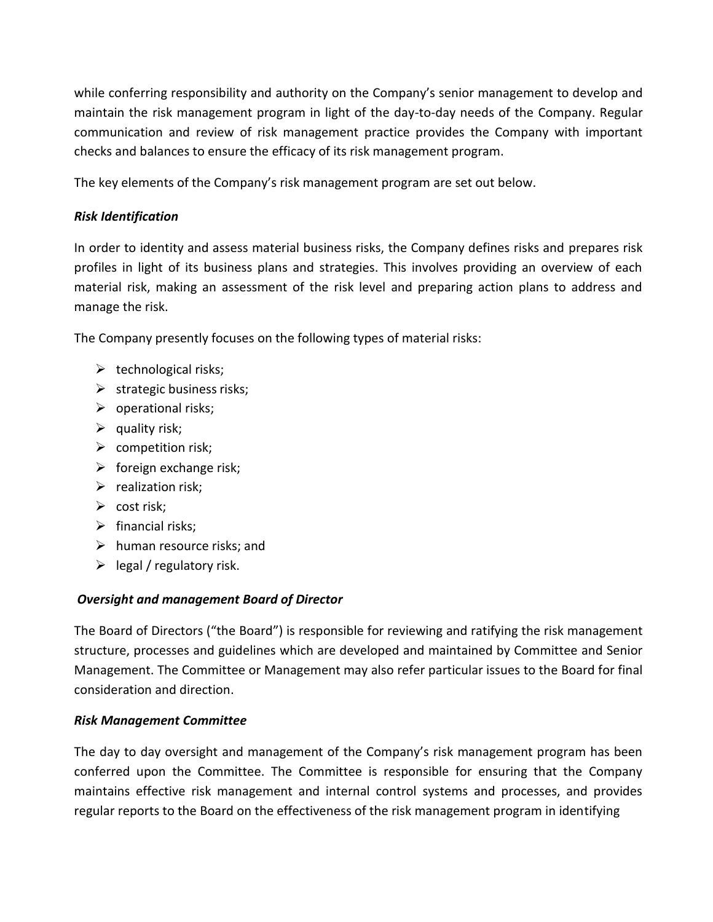while conferring responsibility and authority on the Company's senior management to develop and maintain the risk management program in light of the day-to-day needs of the Company. Regular communication and review of risk management practice provides the Company with important checks and balances to ensure the efficacy of its risk management program.

The key elements of the Company's risk management program are set out below.

## *Risk Identification*

In order to identity and assess material business risks, the Company defines risks and prepares risk profiles in light of its business plans and strategies. This involves providing an overview of each material risk, making an assessment of the risk level and preparing action plans to address and manage the risk.

The Company presently focuses on the following types of material risks:

- $\triangleright$  technological risks;
- $\triangleright$  strategic business risks;
- $\triangleright$  operational risks;
- $\triangleright$  quality risk;
- $\triangleright$  competition risk;
- $\triangleright$  foreign exchange risk;
- $\triangleright$  realization risk;
- $\triangleright$  cost risk;
- $\triangleright$  financial risks:
- $\triangleright$  human resource risks; and
- $\triangleright$  legal / regulatory risk.

## *Oversight and management Board of Director*

The Board of Directors ("the Board") is responsible for reviewing and ratifying the risk management structure, processes and guidelines which are developed and maintained by Committee and Senior Management. The Committee or Management may also refer particular issues to the Board for final consideration and direction.

## *Risk Management Committee*

The day to day oversight and management of the Company's risk management program has been conferred upon the Committee. The Committee is responsible for ensuring that the Company maintains effective risk management and internal control systems and processes, and provides regular reports to the Board on the effectiveness of the risk management program in identifying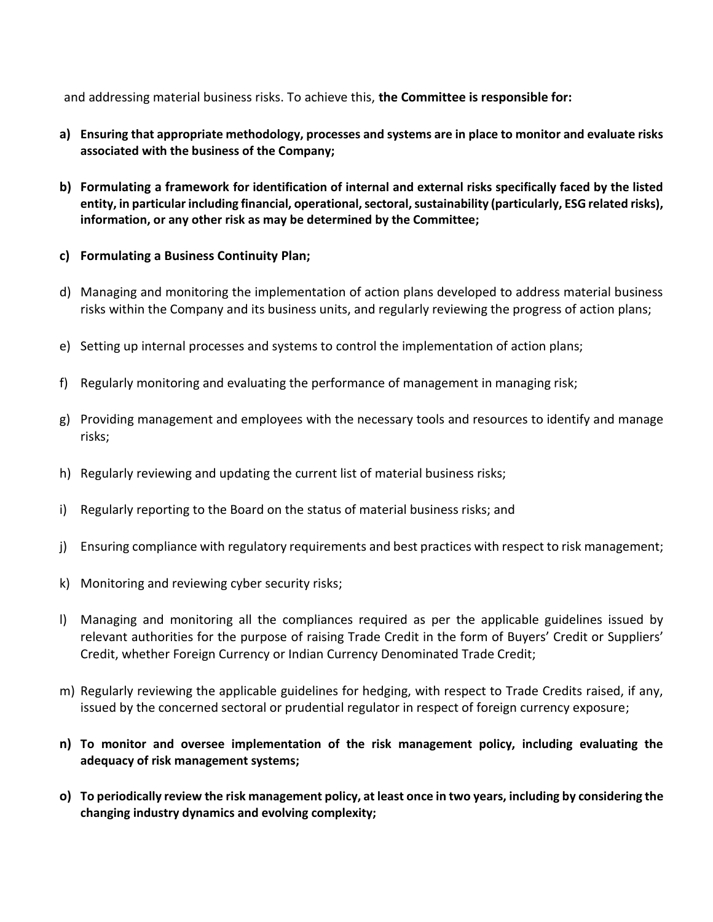and addressing material business risks. To achieve this, **the Committee is responsible for:**

- **a) Ensuring that appropriate methodology, processes and systems are in place to monitor and evaluate risks associated with the business of the Company;**
- **b) Formulating a framework for identification of internal and external risks specifically faced by the listed entity, in particular including financial, operational, sectoral, sustainability (particularly, ESG related risks), information, or any other risk as may be determined by the Committee;**
- **c) Formulating a Business Continuity Plan;**
- d) Managing and monitoring the implementation of action plans developed to address material business risks within the Company and its business units, and regularly reviewing the progress of action plans;
- e) Setting up internal processes and systems to control the implementation of action plans;
- f) Regularly monitoring and evaluating the performance of management in managing risk;
- g) Providing management and employees with the necessary tools and resources to identify and manage risks;
- h) Regularly reviewing and updating the current list of material business risks;
- i) Regularly reporting to the Board on the status of material business risks; and
- j) Ensuring compliance with regulatory requirements and best practices with respect to risk management;
- k) Monitoring and reviewing cyber security risks;
- l) Managing and monitoring all the compliances required as per the applicable guidelines issued by relevant authorities for the purpose of raising Trade Credit in the form of Buyers' Credit or Suppliers' Credit, whether Foreign Currency or Indian Currency Denominated Trade Credit;
- m) Regularly reviewing the applicable guidelines for hedging, with respect to Trade Credits raised, if any, issued by the concerned sectoral or prudential regulator in respect of foreign currency exposure;
- **n) To monitor and oversee implementation of the risk management policy, including evaluating the adequacy of risk management systems;**
- **o) To periodically review the risk management policy, at least once in two years, including by considering the changing industry dynamics and evolving complexity;**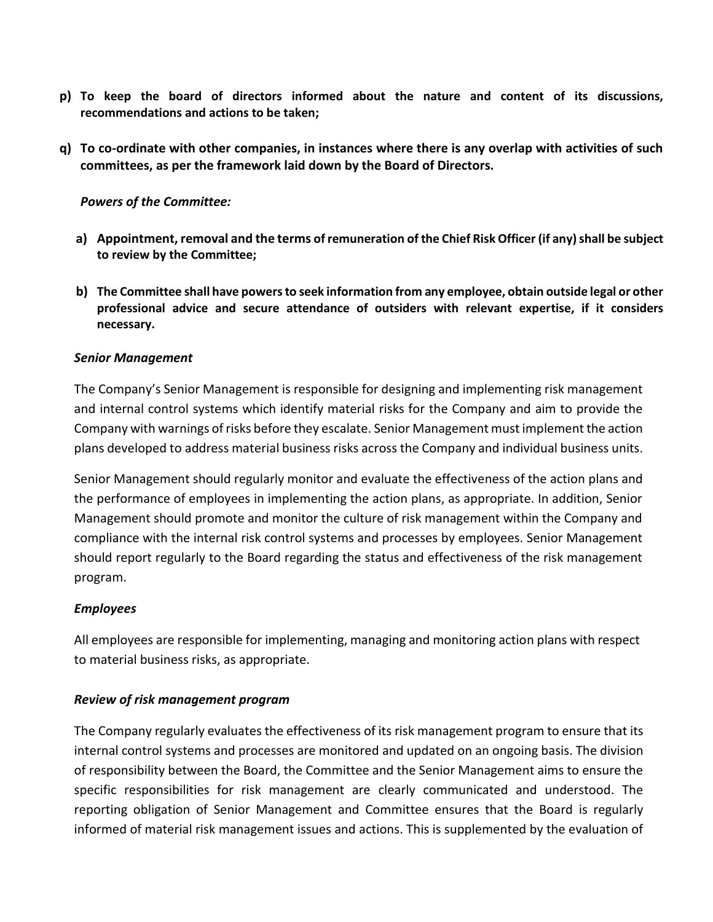- **p) To keep the board of directors informed about the nature and content of its discussions, recommendations and actions to be taken;**
- **q) To co-ordinate with other companies, in instances where there is any overlap with activities of such committees, as per the framework laid down by the Board of Directors.**

#### *Powers of the Committee:*

- **a) Appointment, removal and the terms of remuneration of the Chief Risk Officer (if any) shall be subject to review by the Committee;**
- **b) The Committee shall have powers to seek information from any employee, obtain outside legal or other professional advice and secure attendance of outsiders with relevant expertise, if it considers necessary.**

#### *Senior Management*

The Company's Senior Management is responsible for designing and implementing risk management and internal control systems which identify material risks for the Company and aim to provide the Company with warnings of risks before they escalate. Senior Management must implement the action plans developed to address material business risks across the Company and individual business units.

Senior Management should regularly monitor and evaluate the effectiveness of the action plans and the performance of employees in implementing the action plans, as appropriate. In addition, Senior Management should promote and monitor the culture of risk management within the Company and compliance with the internal risk control systems and processes by employees. Senior Management should report regularly to the Board regarding the status and effectiveness of the risk management program.

#### *Employees*

All employees are responsible for implementing, managing and monitoring action plans with respect to material business risks, as appropriate.

#### *Review of risk management program*

The Company regularly evaluates the effectiveness of its risk management program to ensure that its internal control systems and processes are monitored and updated on an ongoing basis. The division of responsibility between the Board, the Committee and the Senior Management aims to ensure the specific responsibilities for risk management are clearly communicated and understood. The reporting obligation of Senior Management and Committee ensures that the Board is regularly informed of material risk management issues and actions. This is supplemented by the evaluation of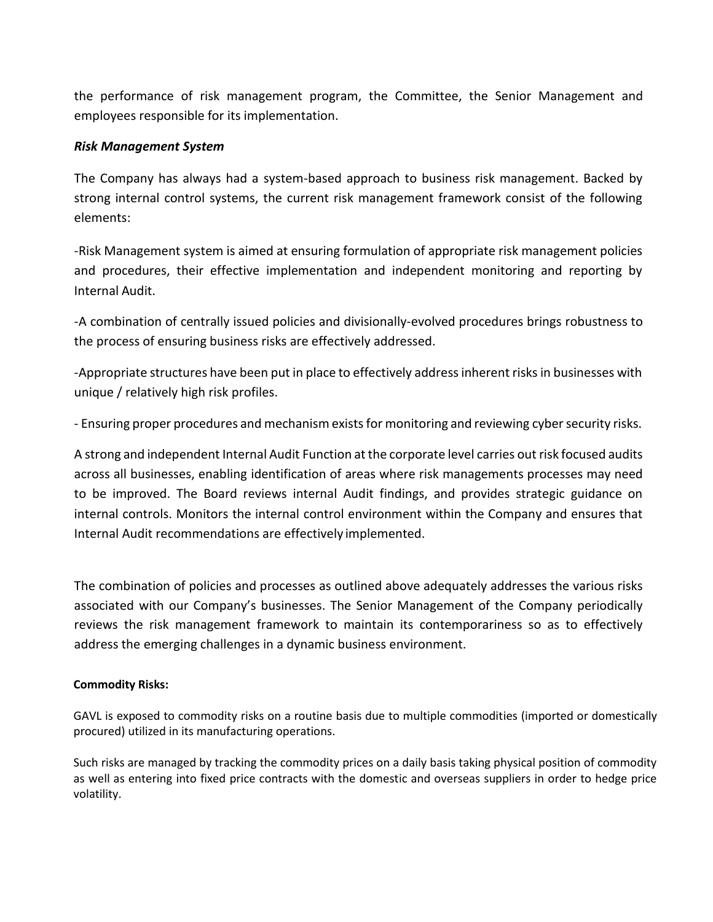the performance of risk management program, the Committee, the Senior Management and employees responsible for its implementation.

## *Risk Management System*

The Company has always had a system-based approach to business risk management. Backed by strong internal control systems, the current risk management framework consist of the following elements:

-Risk Management system is aimed at ensuring formulation of appropriate risk management policies and procedures, their effective implementation and independent monitoring and reporting by Internal Audit.

-A combination of centrally issued policies and divisionally-evolved procedures brings robustness to the process of ensuring business risks are effectively addressed.

-Appropriate structures have been put in place to effectively address inherent risks in businesses with unique / relatively high risk profiles.

- Ensuring proper procedures and mechanism exists for monitoring and reviewing cyber security risks.

A strong and independent Internal Audit Function at the corporate level carries out risk focused audits across all businesses, enabling identification of areas where risk managements processes may need to be improved. The Board reviews internal Audit findings, and provides strategic guidance on internal controls. Monitors the internal control environment within the Company and ensures that Internal Audit recommendations are effectively implemented.

The combination of policies and processes as outlined above adequately addresses the various risks associated with our Company's businesses. The Senior Management of the Company periodically reviews the risk management framework to maintain its contemporariness so as to effectively address the emerging challenges in a dynamic business environment.

#### **Commodity Risks:**

GAVL is exposed to commodity risks on a routine basis due to multiple commodities (imported or domestically procured) utilized in its manufacturing operations.

Such risks are managed by tracking the commodity prices on a daily basis taking physical position of commodity as well as entering into fixed price contracts with the domestic and overseas suppliers in order to hedge price volatility.